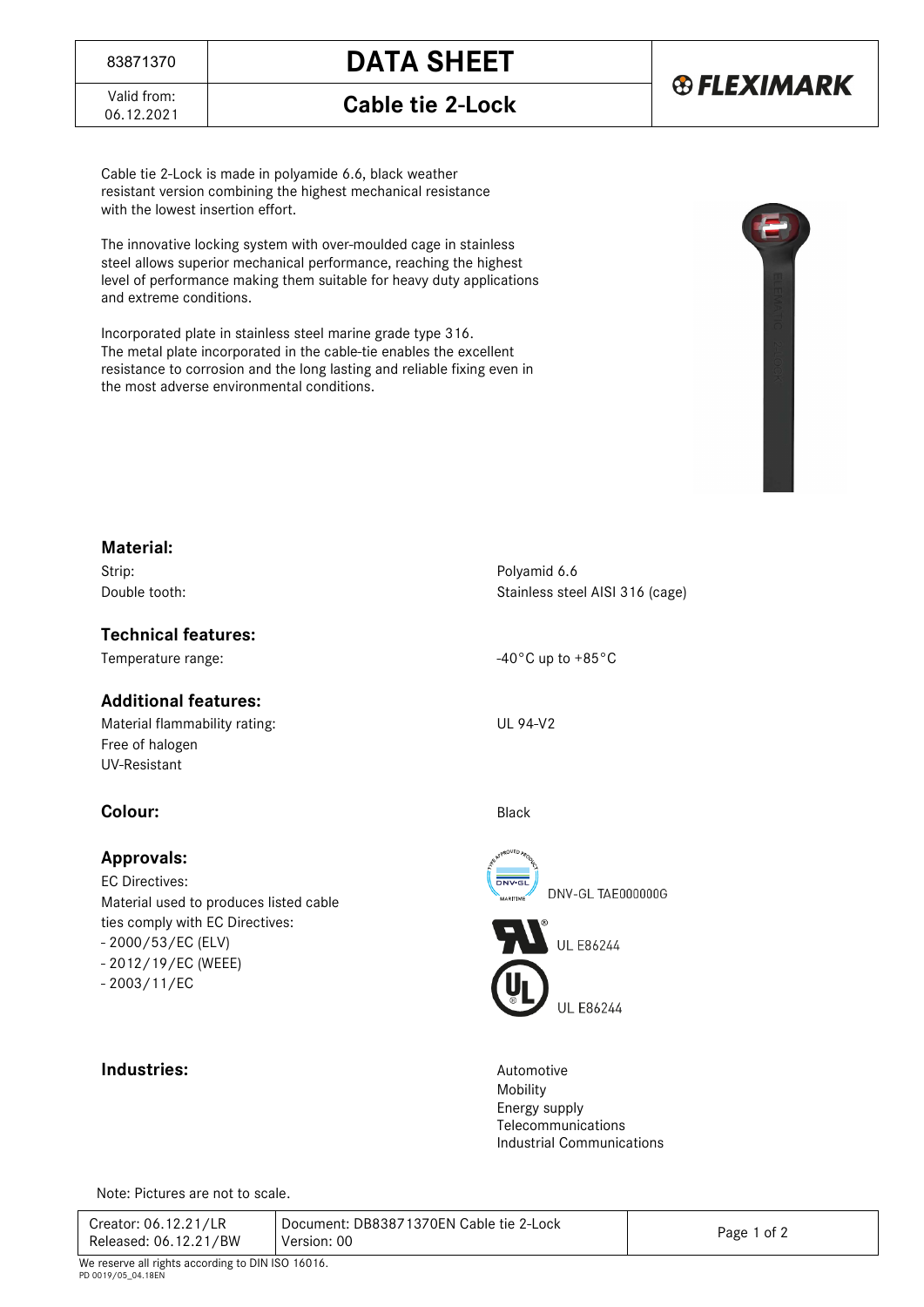

Valid from:<br>06.12.2021

06.12.2021 **Cable tie 2-Lock** 

Cable tie 2-Lock is made in polyamide 6.6, black weather resistant version combining the highest mechanical resistance with the lowest insertion effort.

The innovative locking system with over-moulded cage in stainless steel allows superior mechanical performance, reaching the highest level of performance making them suitable for heavy duty applications and extreme conditions.

Incorporated plate in stainless steel marine grade type 316. The metal plate incorporated in the cable-tie enables the excellent resistance to corrosion and the long lasting and reliable fixing even in the most adverse environmental conditions.



#### **Material:**

Strip: Polyamid 6.6

#### **Technical features:**

#### **Additional features:**

Material flammability rating: UL 94-V2 Free of halogen UV-Resistant

### **Colour:** Black

#### **Approvals:**

EC Directives: Material used to produces listed cable ties comply with EC Directives: - 2000/53/EC (ELV) - 2012/19/EC (WEEE) - 2003/11/EC

### **Industries:** Automotive

Double tooth: Stainless steel AISI 316 (cage)

Temperature range:  $-40^{\circ}$ C up to  $+85^{\circ}$ C



**UL E86244** 

Mobility Energy supply Telecommunications Industrial Communications

Note: Pictures are not to scale.

| Creator: 06.12.21/LR<br>Released: 06.12.21/BW                           | Document: DB83871370EN Cable tie 2-Lock<br>Version: 00 | Page 1 of 2 |
|-------------------------------------------------------------------------|--------------------------------------------------------|-------------|
| We reserve all rights according to DIN ISO 16016.<br>PD 0019/05 04 18FN |                                                        |             |